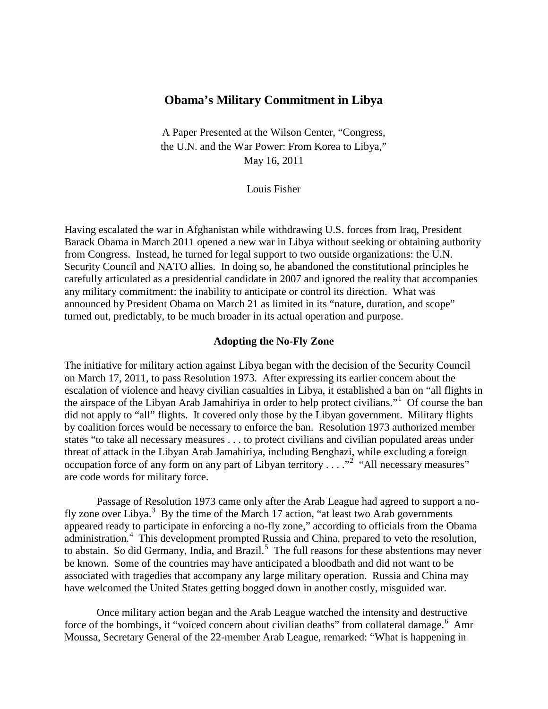# **Obama's Military Commitment in Libya**

A Paper Presented at the Wilson Center, "Congress, the U.N. and the War Power: From Korea to Libya," May 16, 2011

Louis Fisher

Having escalated the war in Afghanistan while withdrawing U.S. forces from Iraq, President Barack Obama in March 2011 opened a new war in Libya without seeking or obtaining authority from Congress. Instead, he turned for legal support to two outside organizations: the U.N. Security Council and NATO allies. In doing so, he abandoned the constitutional principles he carefully articulated as a presidential candidate in 2007 and ignored the reality that accompanies any military commitment: the inability to anticipate or control its direction. What was announced by President Obama on March 21 as limited in its "nature, duration, and scope" turned out, predictably, to be much broader in its actual operation and purpose.

## **Adopting the No-Fly Zone**

The initiative for military action against Libya began with the decision of the Security Council on March 17, 2011, to pass Resolution 1973. After expressing its earlier concern about the escalation of violence and heavy civilian casualties in Libya, it established a ban on "all flights in the airspace of the Libyan Arab Jamahiriya in order to help protect civilians."<sup>[1](#page-10-0)</sup> Of course the ban did not apply to "all" flights. It covered only those by the Libyan government. Military flights by coalition forces would be necessary to enforce the ban. Resolution 1973 authorized member states "to take all necessary measures . . . to protect civilians and civilian populated areas under threat of attack in the Libyan Arab Jamahiriya, including Benghazi, while excluding a foreign occupation force of any form on any part of Libyan territory . . . . "<sup>[2](#page-10-1)</sup> "All necessary measures" are code words for military force.

Passage of Resolution 1973 came only after the Arab League had agreed to support a no-fly zone over Libya.<sup>[3](#page-10-2)</sup> By the time of the March 17 action, "at least two Arab governments appeared ready to participate in enforcing a no-fly zone," according to officials from the Obama administration.<sup>[4](#page-10-3)</sup> This development prompted Russia and China, prepared to veto the resolution, to abstain. So did Germany, India, and Brazil.<sup>[5](#page-11-0)</sup> The full reasons for these abstentions may never be known. Some of the countries may have anticipated a bloodbath and did not want to be associated with tragedies that accompany any large military operation. Russia and China may have welcomed the United States getting bogged down in another costly, misguided war.

Once military action began and the Arab League watched the intensity and destructive force of the bombings, it "voiced concern about civilian deaths" from collateral damage.<sup>[6](#page-11-1)</sup> Amr Moussa, Secretary General of the 22-member Arab League, remarked: "What is happening in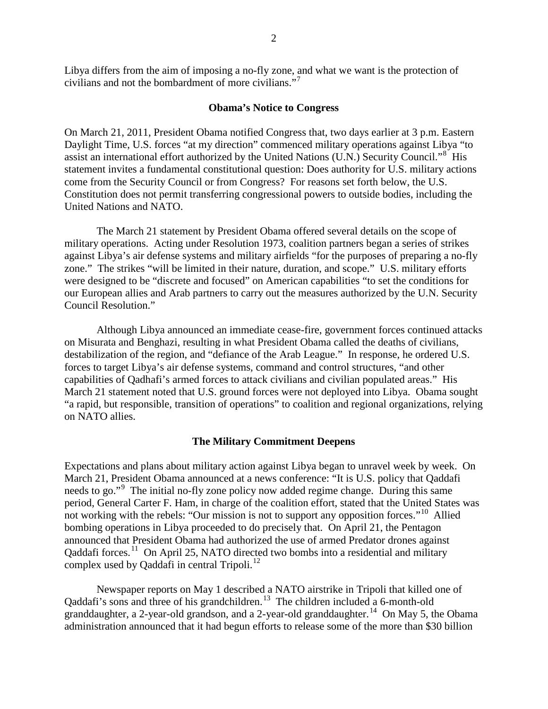Libya differs from the aim of imposing a no-fly zone, and what we want is the protection of civilians and not the bombardment of more civilians. $^{7}$  $^{7}$  $^{7}$ 

## **Obama's Notice to Congress**

On March 21, 2011, President Obama notified Congress that, two days earlier at 3 p.m. Eastern Daylight Time, U.S. forces "at my direction" commenced military operations against Libya "to assist an international effort authorized by the United Nations (U.N.) Security Council."<sup>[8](#page-11-3)</sup> His statement invites a fundamental constitutional question: Does authority for U.S. military actions come from the Security Council or from Congress? For reasons set forth below, the U.S. Constitution does not permit transferring congressional powers to outside bodies, including the United Nations and NATO.

The March 21 statement by President Obama offered several details on the scope of military operations. Acting under Resolution 1973, coalition partners began a series of strikes against Libya's air defense systems and military airfields "for the purposes of preparing a no-fly zone." The strikes "will be limited in their nature, duration, and scope." U.S. military efforts were designed to be "discrete and focused" on American capabilities "to set the conditions for our European allies and Arab partners to carry out the measures authorized by the U.N. Security Council Resolution."

Although Libya announced an immediate cease-fire, government forces continued attacks on Misurata and Benghazi, resulting in what President Obama called the deaths of civilians, destabilization of the region, and "defiance of the Arab League." In response, he ordered U.S. forces to target Libya's air defense systems, command and control structures, "and other capabilities of Qadhafi's armed forces to attack civilians and civilian populated areas." His March 21 statement noted that U.S. ground forces were not deployed into Libya. Obama sought "a rapid, but responsible, transition of operations" to coalition and regional organizations, relying on NATO allies.

#### **The Military Commitment Deepens**

Expectations and plans about military action against Libya began to unravel week by week. On March 21, President Obama announced at a news conference: "It is U.S. policy that Qaddafi needs to go."<sup>[9](#page-11-4)</sup> The initial no-fly zone policy now added regime change. During this same period, General Carter F. Ham, in charge of the coalition effort, stated that the United States was not working with the rebels: "Our mission is not to support any opposition forces."<sup>10</sup> Allied bombing operations in Libya proceeded to do precisely that. On April 21, the Pentagon announced that President Obama had authorized the use of armed Predator drones against Qaddafi forces.<sup>11</sup> On April 25, NATO directed two bombs into a residential and military complex used by Qaddafi in central Tripoli.<sup>[12](#page-11-7)</sup>

Newspaper reports on May 1 described a NATO airstrike in Tripoli that killed one of Qaddafi's sons and three of his grandchildren.<sup>[13](#page-11-8)</sup> The children included a 6-month-old granddaughter, a 2-year-old grandson, and a 2-year-old granddaughter.<sup>[14](#page-11-9)</sup> On May 5, the Obama administration announced that it had begun efforts to release some of the more than \$30 billion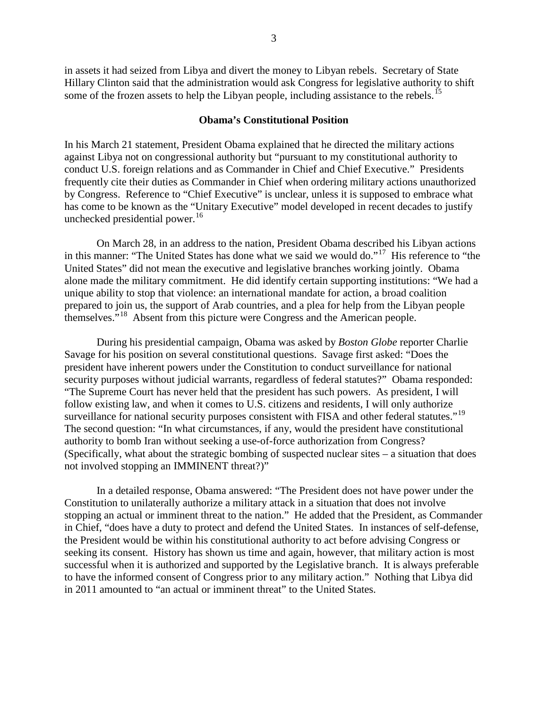in assets it had seized from Libya and divert the money to Libyan rebels. Secretary of State Hillary Clinton said that the administration would ask Congress for legislative authority to shift some of the frozen assets to help the Libyan people, including assistance to the rebels.<sup>[15](#page-11-10)</sup>

#### **Obama's Constitutional Position**

In his March 21 statement, President Obama explained that he directed the military actions against Libya not on congressional authority but "pursuant to my constitutional authority to conduct U.S. foreign relations and as Commander in Chief and Chief Executive." Presidents frequently cite their duties as Commander in Chief when ordering military actions unauthorized by Congress. Reference to "Chief Executive" is unclear, unless it is supposed to embrace what has come to be known as the "Unitary Executive" model developed in recent decades to justify unchecked presidential power. $16$ 

On March 28, in an address to the nation, President Obama described his Libyan actions in this manner: "The United States has done what we said we would do."[17](#page-11-12) His reference to "the United States" did not mean the executive and legislative branches working jointly. Obama alone made the military commitment. He did identify certain supporting institutions: "We had a unique ability to stop that violence: an international mandate for action, a broad coalition prepared to join us, the support of Arab countries, and a plea for help from the Libyan people themselves."[18](#page-11-13) Absent from this picture were Congress and the American people.

During his presidential campaign, Obama was asked by *Boston Globe* reporter Charlie Savage for his position on several constitutional questions. Savage first asked: "Does the president have inherent powers under the Constitution to conduct surveillance for national security purposes without judicial warrants, regardless of federal statutes?" Obama responded: "The Supreme Court has never held that the president has such powers. As president, I will follow existing law, and when it comes to U.S. citizens and residents, I will only authorize surveillance for national security purposes consistent with FISA and other federal statutes."<sup>19</sup> The second question: "In what circumstances, if any, would the president have constitutional authority to bomb Iran without seeking a use-of-force authorization from Congress? (Specifically, what about the strategic bombing of suspected nuclear sites – a situation that does not involved stopping an IMMINENT threat?)"

In a detailed response, Obama answered: "The President does not have power under the Constitution to unilaterally authorize a military attack in a situation that does not involve stopping an actual or imminent threat to the nation." He added that the President, as Commander in Chief, "does have a duty to protect and defend the United States. In instances of self-defense, the President would be within his constitutional authority to act before advising Congress or seeking its consent. History has shown us time and again, however, that military action is most successful when it is authorized and supported by the Legislative branch. It is always preferable to have the informed consent of Congress prior to any military action." Nothing that Libya did in 2011 amounted to "an actual or imminent threat" to the United States.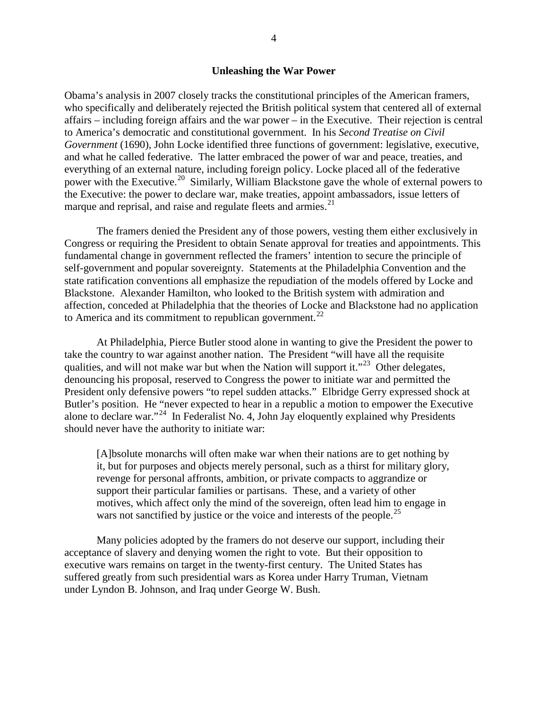## **Unleashing the War Power**

Obama's analysis in 2007 closely tracks the constitutional principles of the American framers, who specifically and deliberately rejected the British political system that centered all of external affairs – including foreign affairs and the war power – in the Executive. Their rejection is central to America's democratic and constitutional government. In his *Second Treatise on Civil Government* (1690), John Locke identified three functions of government: legislative, executive, and what he called federative. The latter embraced the power of war and peace, treaties, and everything of an external nature, including foreign policy. Locke placed all of the federative power with the Executive.<sup>20</sup> Similarly, William Blackstone gave the whole of external powers to the Executive: the power to declare war, make treaties, appoint ambassadors, issue letters of marque and reprisal, and raise and regulate fleets and armies.<sup>[21](#page-11-16)</sup>

The framers denied the President any of those powers, vesting them either exclusively in Congress or requiring the President to obtain Senate approval for treaties and appointments. This fundamental change in government reflected the framers' intention to secure the principle of self-government and popular sovereignty. Statements at the Philadelphia Convention and the state ratification conventions all emphasize the repudiation of the models offered by Locke and Blackstone. Alexander Hamilton, who looked to the British system with admiration and affection, conceded at Philadelphia that the theories of Locke and Blackstone had no application to America and its commitment to republican government.<sup>[22](#page-11-17)</sup>

At Philadelphia, Pierce Butler stood alone in wanting to give the President the power to take the country to war against another nation. The President "will have all the requisite qualities, and will not make war but when the Nation will support it."<sup>[23](#page-11-18)</sup> Other delegates, denouncing his proposal, reserved to Congress the power to initiate war and permitted the President only defensive powers "to repel sudden attacks." Elbridge Gerry expressed shock at Butler's position. He "never expected to hear in a republic a motion to empower the Executive alone to declare war."<sup>[24](#page-11-19)</sup> In Federalist No. 4, John Jay eloquently explained why Presidents should never have the authority to initiate war:

[A]bsolute monarchs will often make war when their nations are to get nothing by it, but for purposes and objects merely personal, such as a thirst for military glory, revenge for personal affronts, ambition, or private compacts to aggrandize or support their particular families or partisans. These, and a variety of other motives, which affect only the mind of the sovereign, often lead him to engage in wars not sanctified by justice or the voice and interests of the people.<sup>[25](#page-11-20)</sup>

Many policies adopted by the framers do not deserve our support, including their acceptance of slavery and denying women the right to vote. But their opposition to executive wars remains on target in the twenty-first century. The United States has suffered greatly from such presidential wars as Korea under Harry Truman, Vietnam under Lyndon B. Johnson, and Iraq under George W. Bush.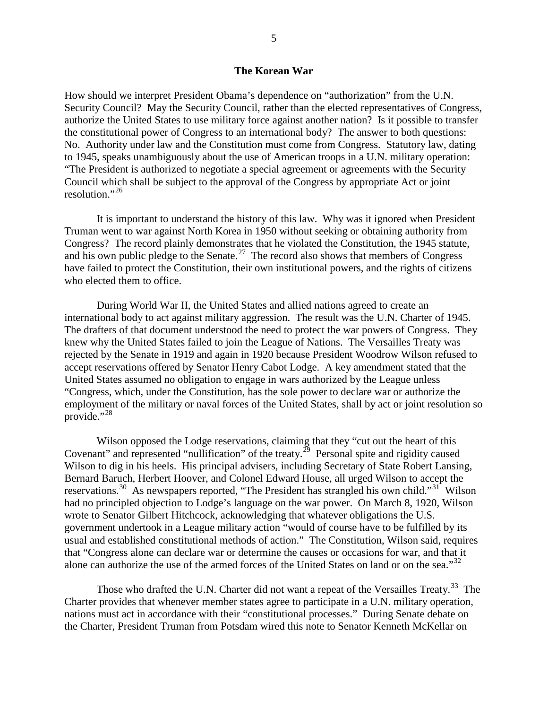## **The Korean War**

How should we interpret President Obama's dependence on "authorization" from the U.N. Security Council? May the Security Council, rather than the elected representatives of Congress, authorize the United States to use military force against another nation? Is it possible to transfer the constitutional power of Congress to an international body? The answer to both questions: No. Authority under law and the Constitution must come from Congress. Statutory law, dating to 1945, speaks unambiguously about the use of American troops in a U.N. military operation: "The President is authorized to negotiate a special agreement or agreements with the Security Council which shall be subject to the approval of the Congress by appropriate Act or joint resolution." $^{26}$  $^{26}$  $^{26}$ 

It is important to understand the history of this law. Why was it ignored when President Truman went to war against North Korea in 1950 without seeking or obtaining authority from Congress? The record plainly demonstrates that he violated the Constitution, the 1945 statute, and his own public pledge to the Senate.<sup>27</sup> The record also shows that members of Congress have failed to protect the Constitution, their own institutional powers, and the rights of citizens who elected them to office.

During World War II, the United States and allied nations agreed to create an international body to act against military aggression. The result was the U.N. Charter of 1945. The drafters of that document understood the need to protect the war powers of Congress. They knew why the United States failed to join the League of Nations. The Versailles Treaty was rejected by the Senate in 1919 and again in 1920 because President Woodrow Wilson refused to accept reservations offered by Senator Henry Cabot Lodge. A key amendment stated that the United States assumed no obligation to engage in wars authorized by the League unless "Congress, which, under the Constitution, has the sole power to declare war or authorize the employment of the military or naval forces of the United States, shall by act or joint resolution so provide."<sup>[28](#page-11-23)</sup>

Wilson opposed the Lodge reservations, claiming that they "cut out the heart of this Covenant" and represented "nullification" of the treaty.<sup>29</sup> Personal spite and rigidity caused Wilson to dig in his heels. His principal advisers, including Secretary of State Robert Lansing, Bernard Baruch, Herbert Hoover, and Colonel Edward House, all urged Wilson to accept the reservations.<sup>30</sup> As newspapers reported, "The President has strangled his own child."<sup>[31](#page-11-26)</sup> Wilson had no principled objection to Lodge's language on the war power. On March 8, 1920, Wilson wrote to Senator Gilbert Hitchcock, acknowledging that whatever obligations the U.S. government undertook in a League military action "would of course have to be fulfilled by its usual and established constitutional methods of action." The Constitution, Wilson said, requires that "Congress alone can declare war or determine the causes or occasions for war, and that it alone can authorize the use of the armed forces of the United States on land or on the sea."<sup>[32](#page-11-27)</sup>

Those who drafted the U.N. Charter did not want a repeat of the Versailles Treaty.<sup>[33](#page-11-28)</sup> The Charter provides that whenever member states agree to participate in a U.N. military operation, nations must act in accordance with their "constitutional processes." During Senate debate on the Charter, President Truman from Potsdam wired this note to Senator Kenneth McKellar on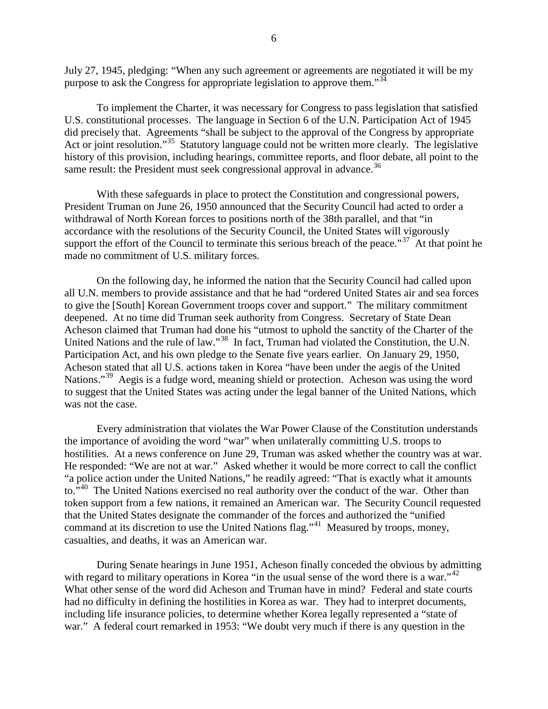July 27, 1945, pledging: "When any such agreement or agreements are negotiated it will be my purpose to ask the Congress for appropriate legislation to approve them."<sup>[34](#page-11-29)</sup>

To implement the Charter, it was necessary for Congress to pass legislation that satisfied U.S. constitutional processes. The language in Section 6 of the U.N. Participation Act of 1945 did precisely that. Agreements "shall be subject to the approval of the Congress by appropriate Act or joint resolution."<sup>[35](#page-11-30)</sup> Statutory language could not be written more clearly. The legislative history of this provision, including hearings, committee reports, and floor debate, all point to the same result: the President must seek congressional approval in advance.<sup>[36](#page-11-31)</sup>

With these safeguards in place to protect the Constitution and congressional powers, President Truman on June 26, 1950 announced that the Security Council had acted to order a withdrawal of North Korean forces to positions north of the 38th parallel, and that "in accordance with the resolutions of the Security Council, the United States will vigorously support the effort of the Council to terminate this serious breach of the peace." $37$  At that point he made no commitment of U.S. military forces.

On the following day, he informed the nation that the Security Council had called upon all U.N. members to provide assistance and that he had "ordered United States air and sea forces to give the [South] Korean Government troops cover and support." The military commitment deepened. At no time did Truman seek authority from Congress. Secretary of State Dean Acheson claimed that Truman had done his "utmost to uphold the sanctity of the Charter of the United Nations and the rule of law."<sup>[38](#page-11-33)</sup> In fact, Truman had violated the Constitution, the U.N. Participation Act, and his own pledge to the Senate five years earlier. On January 29, 1950, Acheson stated that all U.S. actions taken in Korea "have been under the aegis of the United Nations."<sup>[39](#page-11-34)</sup> Aegis is a fudge word, meaning shield or protection. Acheson was using the word to suggest that the United States was acting under the legal banner of the United Nations, which was not the case.

Every administration that violates the War Power Clause of the Constitution understands the importance of avoiding the word "war" when unilaterally committing U.S. troops to hostilities. At a news conference on June 29, Truman was asked whether the country was at war. He responded: "We are not at war." Asked whether it would be more correct to call the conflict "a police action under the United Nations," he readily agreed: "That is exactly what it amounts to."<sup>[40](#page-11-35)</sup> The United Nations exercised no real authority over the conduct of the war. Other than token support from a few nations, it remained an American war. The Security Council requested that the United States designate the commander of the forces and authorized the "unified command at its discretion to use the United Nations flag."[41](#page-11-36) Measured by troops, money, casualties, and deaths, it was an American war.

During Senate hearings in June 1951, Acheson finally conceded the obvious by admitting with regard to military operations in Korea "in the usual sense of the word there is a war."<sup>[42](#page-11-37)</sup> What other sense of the word did Acheson and Truman have in mind? Federal and state courts had no difficulty in defining the hostilities in Korea as war. They had to interpret documents, including life insurance policies, to determine whether Korea legally represented a "state of war." A federal court remarked in 1953: "We doubt very much if there is any question in the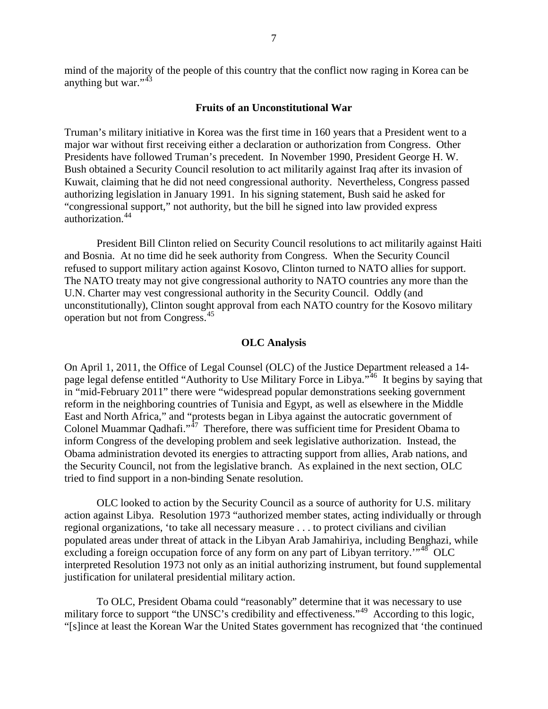mind of the majority of the people of this country that the conflict now raging in Korea can be anything but war."<sup>[43](#page-12-0)</sup>

## **Fruits of an Unconstitutional War**

Truman's military initiative in Korea was the first time in 160 years that a President went to a major war without first receiving either a declaration or authorization from Congress. Other Presidents have followed Truman's precedent. In November 1990, President George H. W. Bush obtained a Security Council resolution to act militarily against Iraq after its invasion of Kuwait, claiming that he did not need congressional authority. Nevertheless, Congress passed authorizing legislation in January 1991. In his signing statement, Bush said he asked for "congressional support," not authority, but the bill he signed into law provided express authorization.[44](#page-12-1)

President Bill Clinton relied on Security Council resolutions to act militarily against Haiti and Bosnia. At no time did he seek authority from Congress. When the Security Council refused to support military action against Kosovo, Clinton turned to NATO allies for support. The NATO treaty may not give congressional authority to NATO countries any more than the U.N. Charter may vest congressional authority in the Security Council. Oddly (and unconstitutionally), Clinton sought approval from each NATO country for the Kosovo military operation but not from Congress.[45](#page-12-2)

## **OLC Analysis**

On April 1, 2011, the Office of Legal Counsel (OLC) of the Justice Department released a 14 page legal defense entitled "Authority to Use Military Force in Libya."[46](#page-12-3) It begins by saying that in "mid-February 2011" there were "widespread popular demonstrations seeking government reform in the neighboring countries of Tunisia and Egypt, as well as elsewhere in the Middle East and North Africa," and "protests began in Libya against the autocratic government of Colonel Muammar Qadhafi."<sup>47</sup> Therefore, there was sufficient time for President Obama to inform Congress of the developing problem and seek legislative authorization. Instead, the Obama administration devoted its energies to attracting support from allies, Arab nations, and the Security Council, not from the legislative branch. As explained in the next section, OLC tried to find support in a non-binding Senate resolution.

OLC looked to action by the Security Council as a source of authority for U.S. military action against Libya. Resolution 1973 "authorized member states, acting individually or through regional organizations, 'to take all necessary measure . . . to protect civilians and civilian populated areas under threat of attack in the Libyan Arab Jamahiriya, including Benghazi, while excluding a foreign occupation force of any form on any part of Libyan territory.<sup>"[48](#page-12-5)</sup> OLC interpreted Resolution 1973 not only as an initial authorizing instrument, but found supplemental justification for unilateral presidential military action.

To OLC, President Obama could "reasonably" determine that it was necessary to use military force to support "the UNSC's credibility and effectiveness."<sup>[49](#page-12-6)</sup> According to this logic, "[s]ince at least the Korean War the United States government has recognized that 'the continued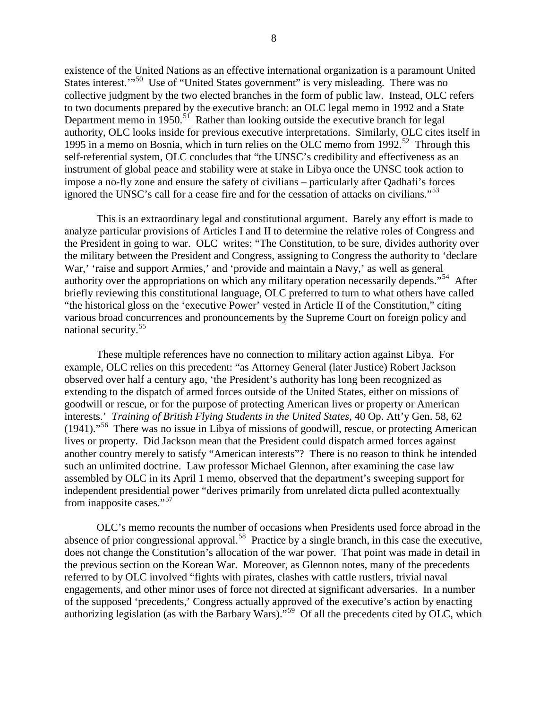existence of the United Nations as an effective international organization is a paramount United States interest."<sup>50</sup> Use of "United States government" is very misleading. There was no collective judgment by the two elected branches in the form of public law. Instead, OLC refers to two documents prepared by the executive branch: an OLC legal memo in 1992 and a State Department memo in  $1950$ .<sup>51</sup> Rather than looking outside the executive branch for legal authority, OLC looks inside for previous executive interpretations. Similarly, OLC cites itself in 1995 in a memo on Bosnia, which in turn relies on the OLC memo from 1992.[52](#page-12-9) Through this self-referential system, OLC concludes that "the UNSC's credibility and effectiveness as an instrument of global peace and stability were at stake in Libya once the UNSC took action to impose a no-fly zone and ensure the safety of civilians – particularly after Qadhafi's forces ignored the UNSC's call for a cease fire and for the cessation of attacks on civilians."<sup>[53](#page-12-10)</sup>

This is an extraordinary legal and constitutional argument. Barely any effort is made to analyze particular provisions of Articles I and II to determine the relative roles of Congress and the President in going to war. OLC writes: "The Constitution, to be sure, divides authority over the military between the President and Congress, assigning to Congress the authority to 'declare War,' 'raise and support Armies,' and 'provide and maintain a Navy,' as well as general authority over the appropriations on which any military operation necessarily depends."[54](#page-12-11) After briefly reviewing this constitutional language, OLC preferred to turn to what others have called "the historical gloss on the 'executive Power' vested in Article II of the Constitution," citing various broad concurrences and pronouncements by the Supreme Court on foreign policy and national security.[55](#page-12-12)

These multiple references have no connection to military action against Libya. For example, OLC relies on this precedent: "as Attorney General (later Justice) Robert Jackson observed over half a century ago, 'the President's authority has long been recognized as extending to the dispatch of armed forces outside of the United States, either on missions of goodwill or rescue, or for the purpose of protecting American lives or property or American interests.' *Training of British Flying Students in the United States*, 40 Op. Att'y Gen. 58, 62  $(1941)$ ."<sup>56</sup> There was no issue in Libya of missions of goodwill, rescue, or protecting American lives or property. Did Jackson mean that the President could dispatch armed forces against another country merely to satisfy "American interests"? There is no reason to think he intended such an unlimited doctrine. Law professor Michael Glennon, after examining the case law assembled by OLC in its April 1 memo, observed that the department's sweeping support for independent presidential power "derives primarily from unrelated dicta pulled acontextually from inapposite cases."<sup>[57](#page-12-14)</sup>

OLC's memo recounts the number of occasions when Presidents used force abroad in the absence of prior congressional approval.<sup>58</sup> Practice by a single branch, in this case the executive, does not change the Constitution's allocation of the war power. That point was made in detail in the previous section on the Korean War. Moreover, as Glennon notes, many of the precedents referred to by OLC involved "fights with pirates, clashes with cattle rustlers, trivial naval engagements, and other minor uses of force not directed at significant adversaries. In a number of the supposed 'precedents,' Congress actually approved of the executive's action by enacting authorizing legislation (as with the Barbary Wars)."<sup>59</sup> Of all the precedents cited by OLC, which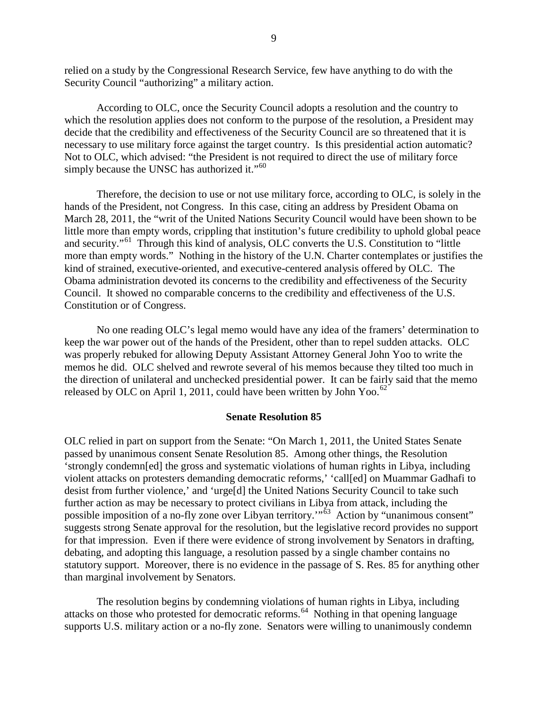relied on a study by the Congressional Research Service, few have anything to do with the Security Council "authorizing" a military action.

According to OLC, once the Security Council adopts a resolution and the country to which the resolution applies does not conform to the purpose of the resolution, a President may decide that the credibility and effectiveness of the Security Council are so threatened that it is necessary to use military force against the target country. Is this presidential action automatic? Not to OLC, which advised: "the President is not required to direct the use of military force simply because the UNSC has authorized it."<sup>60</sup>

Therefore, the decision to use or not use military force, according to OLC, is solely in the hands of the President, not Congress. In this case, citing an address by President Obama on March 28, 2011, the "writ of the United Nations Security Council would have been shown to be little more than empty words, crippling that institution's future credibility to uphold global peace and security."<sup>[61](#page-12-18)</sup> Through this kind of analysis, OLC converts the U.S. Constitution to "little" more than empty words." Nothing in the history of the U.N. Charter contemplates or justifies the kind of strained, executive-oriented, and executive-centered analysis offered by OLC. The Obama administration devoted its concerns to the credibility and effectiveness of the Security Council. It showed no comparable concerns to the credibility and effectiveness of the U.S. Constitution or of Congress.

No one reading OLC's legal memo would have any idea of the framers' determination to keep the war power out of the hands of the President, other than to repel sudden attacks. OLC was properly rebuked for allowing Deputy Assistant Attorney General John Yoo to write the memos he did. OLC shelved and rewrote several of his memos because they tilted too much in the direction of unilateral and unchecked presidential power. It can be fairly said that the memo released by OLC on April 1, 2011, could have been written by John Yoo.<sup>[62](#page-12-19)</sup>

#### **Senate Resolution 85**

OLC relied in part on support from the Senate: "On March 1, 2011, the United States Senate passed by unanimous consent Senate Resolution 85. Among other things, the Resolution 'strongly condemn[ed] the gross and systematic violations of human rights in Libya, including violent attacks on protesters demanding democratic reforms,' 'call[ed] on Muammar Gadhafi to desist from further violence,' and 'urge[d] the United Nations Security Council to take such further action as may be necessary to protect civilians in Libya from attack, including the possible imposition of a no-fly zone over Libyan territory.<sup>"63</sup> Action by "unanimous consent" suggests strong Senate approval for the resolution, but the legislative record provides no support for that impression. Even if there were evidence of strong involvement by Senators in drafting, debating, and adopting this language, a resolution passed by a single chamber contains no statutory support. Moreover, there is no evidence in the passage of S. Res. 85 for anything other than marginal involvement by Senators.

The resolution begins by condemning violations of human rights in Libya, including attacks on those who protested for democratic reforms.<sup>64</sup> Nothing in that opening language supports U.S. military action or a no-fly zone. Senators were willing to unanimously condemn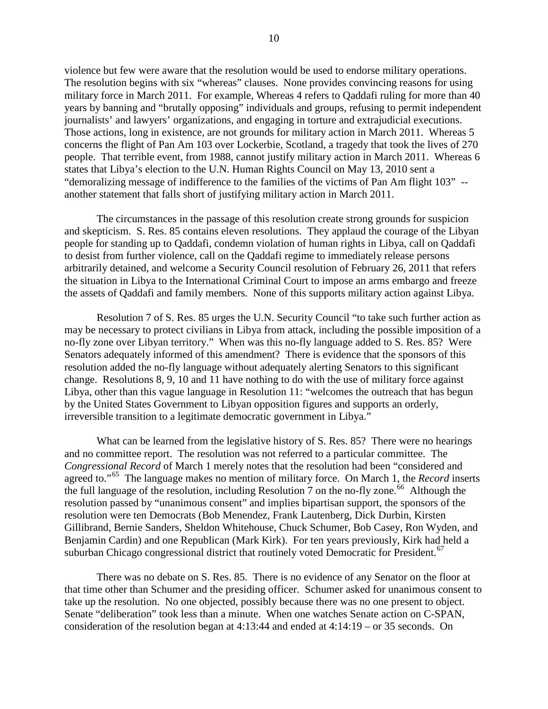violence but few were aware that the resolution would be used to endorse military operations. The resolution begins with six "whereas" clauses. None provides convincing reasons for using military force in March 2011. For example, Whereas 4 refers to Qaddafi ruling for more than 40 years by banning and "brutally opposing" individuals and groups, refusing to permit independent journalists' and lawyers' organizations, and engaging in torture and extrajudicial executions. Those actions, long in existence, are not grounds for military action in March 2011. Whereas 5 concerns the flight of Pan Am 103 over Lockerbie, Scotland, a tragedy that took the lives of 270 people. That terrible event, from 1988, cannot justify military action in March 2011. Whereas 6 states that Libya's election to the U.N. Human Rights Council on May 13, 2010 sent a "demoralizing message of indifference to the families of the victims of Pan Am flight 103" - another statement that falls short of justifying military action in March 2011.

The circumstances in the passage of this resolution create strong grounds for suspicion and skepticism. S. Res. 85 contains eleven resolutions. They applaud the courage of the Libyan people for standing up to Qaddafi, condemn violation of human rights in Libya, call on Qaddafi to desist from further violence, call on the Qaddafi regime to immediately release persons arbitrarily detained, and welcome a Security Council resolution of February 26, 2011 that refers the situation in Libya to the International Criminal Court to impose an arms embargo and freeze the assets of Qaddafi and family members. None of this supports military action against Libya.

Resolution 7 of S. Res. 85 urges the U.N. Security Council "to take such further action as may be necessary to protect civilians in Libya from attack, including the possible imposition of a no-fly zone over Libyan territory." When was this no-fly language added to S. Res. 85? Were Senators adequately informed of this amendment? There is evidence that the sponsors of this resolution added the no-fly language without adequately alerting Senators to this significant change. Resolutions 8, 9, 10 and 11 have nothing to do with the use of military force against Libya, other than this vague language in Resolution 11: "welcomes the outreach that has begun by the United States Government to Libyan opposition figures and supports an orderly, irreversible transition to a legitimate democratic government in Libya."

What can be learned from the legislative history of S. Res. 85? There were no hearings and no committee report. The resolution was not referred to a particular committee. The *Congressional Record* of March 1 merely notes that the resolution had been "considered and agreed to."<sup>[65](#page-12-22)</sup> The language makes no mention of military force. On March 1, the *Record* inserts the full language of the resolution, including Resolution 7 on the no-fly zone.<sup>66</sup> Although the resolution passed by "unanimous consent" and implies bipartisan support, the sponsors of the resolution were ten Democrats (Bob Menendez, Frank Lautenberg, Dick Durbin, Kirsten Gillibrand, Bernie Sanders, Sheldon Whitehouse, Chuck Schumer, Bob Casey, Ron Wyden, and Benjamin Cardin) and one Republican (Mark Kirk). For ten years previously, Kirk had held a suburban Chicago congressional district that routinely voted Democratic for President.<sup>[67](#page-12-24)</sup>

There was no debate on S. Res. 85. There is no evidence of any Senator on the floor at that time other than Schumer and the presiding officer. Schumer asked for unanimous consent to take up the resolution. No one objected, possibly because there was no one present to object. Senate "deliberation" took less than a minute. When one watches Senate action on C-SPAN, consideration of the resolution began at 4:13:44 and ended at 4:14:19 – or 35 seconds. On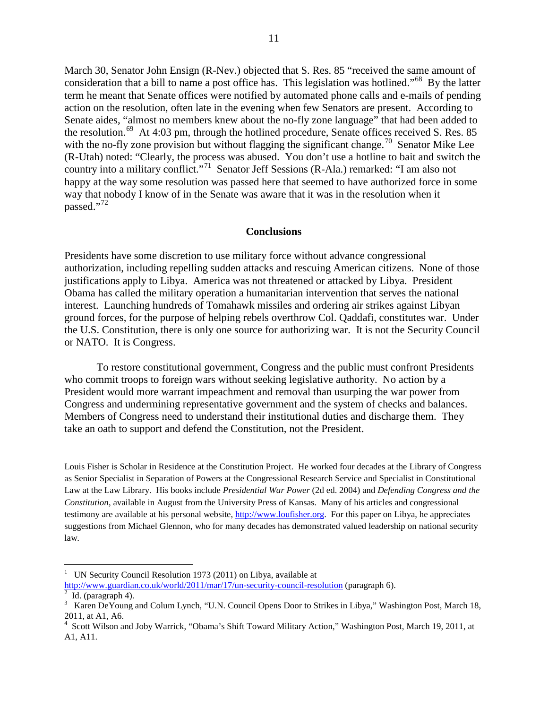March 30, Senator John Ensign (R-Nev.) objected that S. Res. 85 "received the same amount of consideration that a bill to name a post office has. This legislation was hotlined."[68](#page-12-25) By the latter term he meant that Senate offices were notified by automated phone calls and e-mails of pending action on the resolution, often late in the evening when few Senators are present. According to Senate aides, "almost no members knew about the no-fly zone language" that had been added to the resolution.<sup>[69](#page-12-26)</sup> At 4:03 pm, through the hotlined procedure, Senate offices received S. Res. 85 with the no-fly zone provision but without flagging the significant change.<sup>[70](#page-12-27)</sup> Senator Mike Lee (R-Utah) noted: "Clearly, the process was abused. You don't use a hotline to bait and switch the country into a military conflict."<sup>[71](#page-12-28)</sup> Senator Jeff Sessions (R-Ala.) remarked: "I am also not happy at the way some resolution was passed here that seemed to have authorized force in some way that nobody I know of in the Senate was aware that it was in the resolution when it passed."[72](#page-12-29)

## **Conclusions**

Presidents have some discretion to use military force without advance congressional authorization, including repelling sudden attacks and rescuing American citizens. None of those justifications apply to Libya. America was not threatened or attacked by Libya. President Obama has called the military operation a humanitarian intervention that serves the national interest. Launching hundreds of Tomahawk missiles and ordering air strikes against Libyan ground forces, for the purpose of helping rebels overthrow Col. Qaddafi, constitutes war. Under the U.S. Constitution, there is only one source for authorizing war. It is not the Security Council or NATO. It is Congress.

To restore constitutional government, Congress and the public must confront Presidents who commit troops to foreign wars without seeking legislative authority. No action by a President would more warrant impeachment and removal than usurping the war power from Congress and undermining representative government and the system of checks and balances. Members of Congress need to understand their institutional duties and discharge them. They take an oath to support and defend the Constitution, not the President.

Louis Fisher is Scholar in Residence at the Constitution Project. He worked four decades at the Library of Congress as Senior Specialist in Separation of Powers at the Congressional Research Service and Specialist in Constitutional Law at the Law Library. His books include *Presidential War Power* (2d ed. 2004) and *Defending Congress and the Constitution*, available in August from the University Press of Kansas. Many of his articles and congressional testimony are available at his personal website, [http://www.loufisher.org.](http://www.loufisher.org/) For this paper on Libya, he appreciates suggestions from Michael Glennon, who for many decades has demonstrated valued leadership on national security law.

<span id="page-10-0"></span> $\frac{1}{1}$  UN Security Council Resolution 1973 (2011) on Libya, available at <http://www.guardian.co.uk/world/2011/mar/17/un-security-council-resolution> (paragraph 6).

<span id="page-10-1"></span>Id. (paragraph  $4$ ).

<span id="page-10-2"></span><sup>&</sup>lt;sup>3</sup> Karen DeYoung and Colum Lynch, "U.N. Council Opens Door to Strikes in Libya," Washington Post, March 18, 2011, at A1, A6.

<span id="page-10-3"></span><sup>4</sup> Scott Wilson and Joby Warrick, "Obama's Shift Toward Military Action," Washington Post, March 19, 2011, at A1, A11.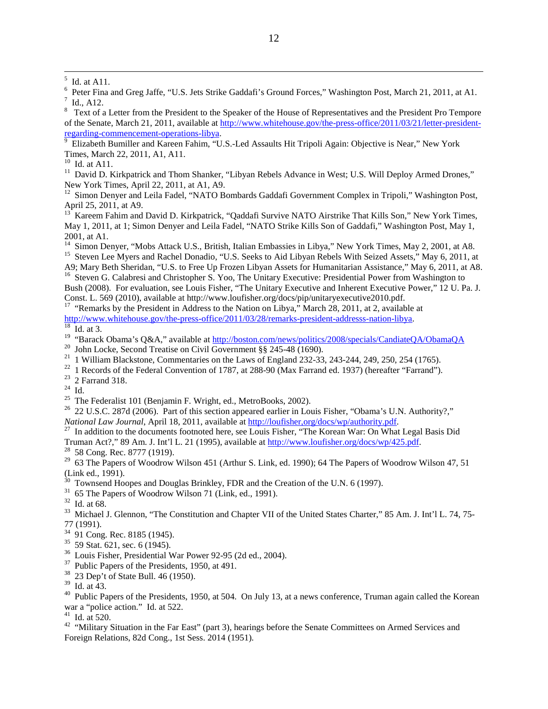<span id="page-11-3"></span><span id="page-11-2"></span> $\frac{1}{8}$  Id., A12.<br><sup>8</sup> Text of a Letter from the President to the Speaker of the House of Representatives and the President Pro Tempore of the Senate, March 21, 2011, available at [http://www.whitehouse.gov/the-press-office/2011/03/21/letter-president](http://www.whitehouse.gov/the-press-office/2011/03/21/letter-president-regarding-commencement-operations-libya)[regarding-commencement-operations-libya.](http://www.whitehouse.gov/the-press-office/2011/03/21/letter-president-regarding-commencement-operations-libya)

<span id="page-11-4"></span> Elizabeth Bumiller and Kareen Fahim, "U.S.-Led Assaults Hit Tripoli Again: Objective is Near," New York Times, March 22, 2011, A1, A11.<br><sup>10</sup> Id. at A11.

<span id="page-11-6"></span><span id="page-11-5"></span><sup>11</sup> David D. Kirkpatrick and Thom Shanker, "Libyan Rebels Advance in West; U.S. Will Deploy Armed Drones," New York Times, April 22, 2011, at A1, A9.

<sup>12</sup> Simon Denyer and Leila Fadel, "NATO Bombards Gaddafi Government Complex in Tripoli," Washington Post,

<span id="page-11-8"></span><span id="page-11-7"></span>April 25, 2011, at A9.<br><sup>13</sup> Kareem Fahim and David D. Kirkpatrick, "Qaddafi Survive NATO Airstrike That Kills Son," New York Times, May 1, 2011, at 1; Simon Denyer and Leila Fadel, "NATO Strike Kills Son of Gaddafi," Washington Post, May 1, 2001, at A1.<br><sup>14</sup> Simon Denyer, "Mobs Attack U.S., British, Italian Embassies in Libya," New York Times, May 2, 2001, at A8.

<span id="page-11-9"></span>

<span id="page-11-11"></span><span id="page-11-10"></span><sup>15</sup> Steven Lee Myers and Rachel Donadio, "U.S. Seeks to Aid Libyan Rebels With Seized Assets," May 6, 2011, at A9; Mary Beth Sheridan, "U.S. to Free Up Frozen Libyan Assets for Humanitarian Assistance," May 6, 2011, at A <sup>16</sup> Steven G. Calabresi and Christopher S. Yoo, The Unitary Executive: Presidential Power from Washington to Bush (2008). For evaluation, see Louis Fisher, "The Unitary Executive and Inherent Executive Power," 12 U. Pa. J. Const. L. 569 (2010), available at http://www.loufisher.org/docs/pip/unitaryexecutive2010.pdf.

<sup>17</sup> "Remarks by the President in Address to the Nation on Libya," March 28, 2011, at 2, available at

<span id="page-11-13"></span>

<span id="page-11-12"></span>[http://www.whitehouse.gov/the-press-office/2011/03/28/remarks-president-addresss-nation-libya.](http://www.whitehouse.gov/the-press-office/2011/03/28/remarks-president-addresss-nation-libya)<br>
<sup>18</sup> Id. at 3.<br>
<sup>19</sup> "Barack Obama's Q&A," available at http://boston.com/news/politics/2008/specials/CandiateOA/ObamaOA

- <span id="page-11-16"></span>
- <span id="page-11-17"></span>

<span id="page-11-19"></span><span id="page-11-18"></span>

- <span id="page-11-21"></span><span id="page-11-20"></span>
- <span id="page-11-15"></span><span id="page-11-14"></span><sup>20</sup> John Locke, Second Treatise on Civil Government §§ 245-48 (1690).<br>
<sup>21</sup> 1 William Blackstone, Commentaries on the Laws of England 232-33, 243-244, 249, 250, 254 (1765).<br>
<sup>22</sup> 1 Records of the Federal Convention of 17
- <span id="page-11-22"></span><sup>27</sup> In addition to the documents footnoted here, see Louis Fisher, "The Korean War: On What Legal Basis Did Truman Act?," 89 Am. J. Int'l L. 21 (1995), available at  $\frac{http://www.loufisher.org/docs/wp/425.pdf}{58}$ .<br><sup>28</sup> 58 Cong. Rec. 8777 (1919).

<span id="page-11-23"></span>

<span id="page-11-24"></span><sup>29</sup> 63 The Papers of Woodrow Wilson 451 (Arthur S. Link, ed. 1990); 64 The Papers of Woodrow Wilson 47, 51 (Link ed., 1991).<br><sup>30</sup> Townsend Hoopes and Douglas Brinkley, FDR and the Creation of the U.N. 6 (1997).

- <span id="page-11-25"></span>
- 
- <span id="page-11-27"></span>

<span id="page-11-26"></span><sup>31</sup> 65 The Papers of Woodrow Wilson 71 (Link, ed., 1991).<br><sup>32</sup> Id. at 68.<br><sup>33</sup> Michael J. Glennon, "The Constitution and Chapter VII of the United States Charter," 85 Am. J. Int'l L. 74, 75-

- <span id="page-11-29"></span><span id="page-11-28"></span>77 (1991).<br><sup>34</sup> 91 Cong. Rec. 8185 (1945).
- 
- <span id="page-11-31"></span><span id="page-11-30"></span><sup>35</sup> 59 Stat. 621, sec. 6 (1945).<br><sup>36</sup> Louis Fisher, Presidential War Power 92-95 (2d ed., 2004).<br><sup>37</sup> Public Papers of the Presidents, 1950, at 491.<br><sup>38</sup> 23 Dep't of State Bull. 46 (1950).<br><sup>39</sup> Id. at 43.
- <span id="page-11-32"></span>
- <span id="page-11-33"></span>

<span id="page-11-35"></span><span id="page-11-34"></span> $30$  Public Papers of the Presidents, 1950, at 504. On July 13, at a news conference, Truman again called the Korean war a "police action." Id. at 522.<br><sup>41</sup> Id. at 520.

<span id="page-11-36"></span>

<span id="page-11-37"></span><sup>42</sup> "Military Situation in the Far East" (part 3), hearings before the Senate Committees on Armed Services and Foreign Relations, 82d Cong., 1st Sess. 2014 (1951).

<span id="page-11-0"></span> <sup>5</sup>  $\frac{5}{6}$  Id. at A11.

<span id="page-11-1"></span>Peter Fina and Greg Jaffe, "U.S. Jets Strike Gaddafi's Ground Forces," Washington Post, March 21, 2011, at A1. Id., A12.